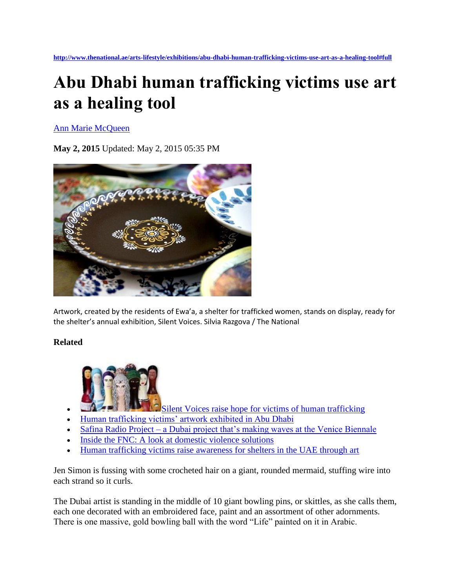## **Abu Dhabi human trafficking victims use art as a healing tool**

[Ann Marie McQueen](http://www.thenational.ae/authors/ann-marie-mcqueen)

**May 2, 2015** Updated: May 2, 2015 05:35 PM



Artwork, created by the residents of Ewa'a, a shelter for trafficked women, stands on display, ready for the shelter's annual exhibition, Silent Voices. Silvia Razgova / The National

## **Related**



- [Silent Voices raise hope for victims of human trafficking](http://www.thenational.ae/blogs/the-art-blog/silent-voices-raise-hope-for-victims-of-human-trafficking)
- [Human trafficking victims' artwork exhibited in Abu Dhabi](http://www.thenational.ae/uae/human-trafficking-victims-artwork-exhibited-in-abu-dhabi)
- Safina Radio Project [a Dubai project that's making waves at the Venice Biennale](http://www.thenational.ae/arts-lifestyle/art/safina-radio-project--a-dubai-project-thats-making-waves-at-the-venice-biennale)
- [Inside the FNC: A look at domestic violence solutions](http://www.thenational.ae/uae/government/inside-the-fnc-a-look-at-domestic-violence-solutions)
- [Human trafficking victims raise awareness for shelters in the UAE through art](http://www.thenational.ae/arts-culture/artists/human-trafficking-victims-raise-awareness-for-shelters-in-the-uae-through-art)

Jen Simon is fussing with some crocheted hair on a giant, rounded mermaid, stuffing wire into each strand so it curls.

The Dubai artist is standing in the middle of 10 giant bowling pins, or skittles, as she calls them, each one decorated with an embroidered face, paint and an assortment of other adornments. There is one massive, gold bowling ball with the word "Life" painted on it in Arabic.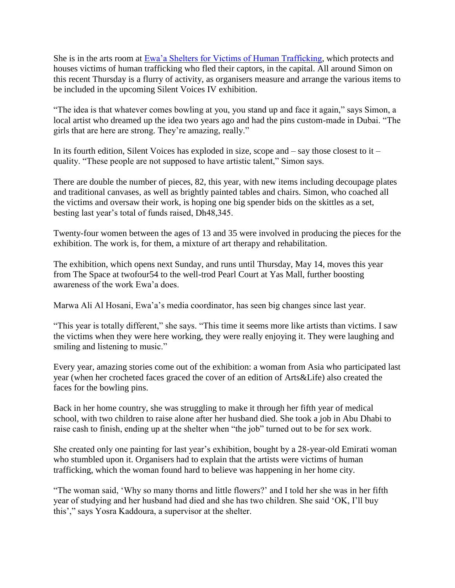She is in the arts room at [Ewa'a Shelters for Victims of Human Trafficking,](http://www.shwc.ae/default.aspx) which protects and houses victims of human trafficking who fled their captors, in the capital. All around Simon on this recent Thursday is a flurry of activity, as organisers measure and arrange the various items to be included in the upcoming Silent Voices IV exhibition.

"The idea is that whatever comes bowling at you, you stand up and face it again," says Simon, a local artist who dreamed up the idea two years ago and had the pins custom-made in Dubai. "The girls that are here are strong. They're amazing, really."

In its fourth edition, Silent Voices has exploded in size, scope and  $-$  say those closest to it  $$ quality. "These people are not supposed to have artistic talent," Simon says.

There are double the number of pieces, 82, this year, with new items including decoupage plates and traditional canvases, as well as brightly painted tables and chairs. Simon, who coached all the victims and oversaw their work, is hoping one big spender bids on the skittles as a set, besting last year's total of funds raised, Dh48,345.

Twenty-four women between the ages of 13 and 35 were involved in producing the pieces for the exhibition. The work is, for them, a mixture of art therapy and rehabilitation.

The exhibition, which opens next Sunday, and runs until Thursday, May 14, moves this year from The Space at twofour54 to the well-trod Pearl Court at Yas Mall, further boosting awareness of the work Ewa'a does.

Marwa Ali Al Hosani, Ewa'a's media coordinator, has seen big changes since last year.

"This year is totally different," she says. "This time it seems more like artists than victims. I saw the victims when they were here working, they were really enjoying it. They were laughing and smiling and listening to music."

Every year, amazing stories come out of the exhibition: a woman from Asia who participated last year (when her crocheted faces graced the cover of an edition of Arts&Life) also created the faces for the bowling pins.

Back in her home country, she was struggling to make it through her fifth year of medical school, with two children to raise alone after her husband died. She took a job in Abu Dhabi to raise cash to finish, ending up at the shelter when "the job" turned out to be for sex work.

She created only one painting for last year's exhibition, bought by a 28-year-old Emirati woman who stumbled upon it. Organisers had to explain that the artists were victims of human trafficking, which the woman found hard to believe was happening in her home city.

"The woman said, 'Why so many thorns and little flowers?' and I told her she was in her fifth year of studying and her husband had died and she has two children. She said 'OK, I'll buy this'," says Yosra Kaddoura, a supervisor at the shelter.